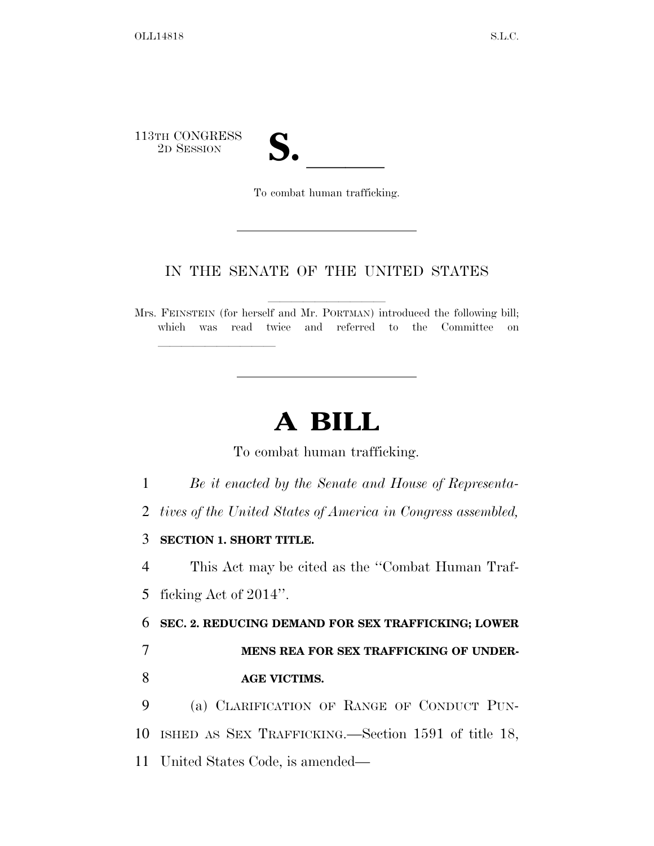113TH CONGRESS

TH CONGRESS<br>
2D SESSION<br>
To combat human trafficking

To combat human trafficking.

## IN THE SENATE OF THE UNITED STATES

Mrs. FEINSTEIN (for herself and Mr. PORTMAN) introduced the following bill; which was read twice and referred to the Committee on

## **A BILL**

To combat human trafficking.

1 *Be it enacted by the Senate and House of Representa-*

2 *tives of the United States of America in Congress assembled,* 

3 **SECTION 1. SHORT TITLE.** 

lla se al constituir a la constituir a la constituir a la constituir a la constituir a la constituir a la cons<br>La constituir a la constituir a la constituir a la constituir a la constituir a la constituir a la constituir

4 This Act may be cited as the ''Combat Human Traf-5 ficking Act of 2014''.

6 **SEC. 2. REDUCING DEMAND FOR SEX TRAFFICKING; LOWER** 

7 **MENS REA FOR SEX TRAFFICKING OF UNDER-**8 **AGE VICTIMS.** 

9 (a) CLARIFICATION OF RANGE OF CONDUCT PUN-10 ISHED AS SEX TRAFFICKING.—Section 1591 of title 18,

11 United States Code, is amended—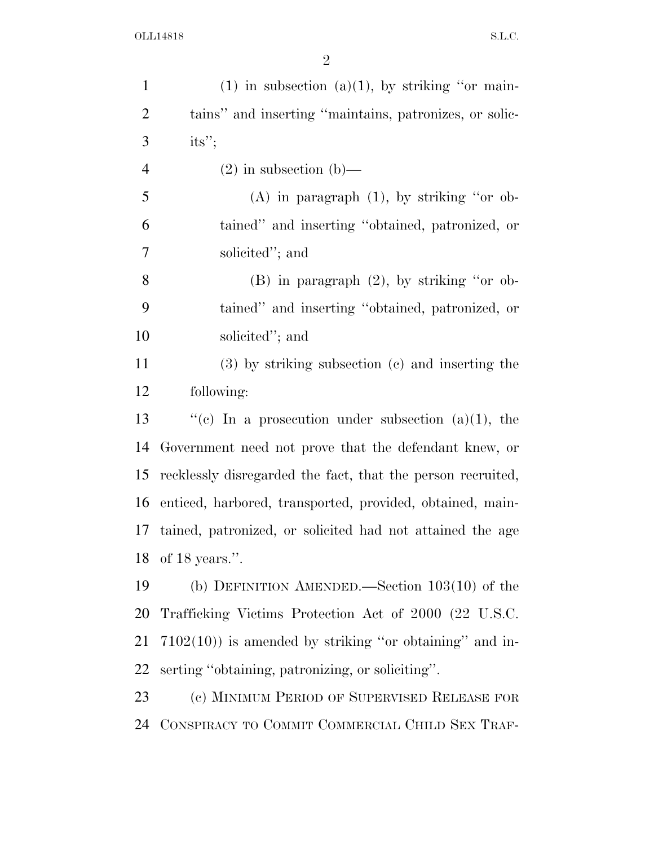| $\mathbf{1}$   | (1) in subsection (a)(1), by striking "or main-             |
|----------------|-------------------------------------------------------------|
| $\overline{2}$ | tains" and inserting "maintains, patronizes, or solic-      |
| 3              | its";                                                       |
| $\overline{4}$ | $(2)$ in subsection $(b)$ —                                 |
| 5              | $(A)$ in paragraph $(1)$ , by striking "or ob-              |
| 6              | tained" and inserting "obtained, patronized, or             |
| 7              | solicited"; and                                             |
| 8              | $(B)$ in paragraph $(2)$ , by striking "or ob-              |
| 9              | tained" and inserting "obtained, patronized, or             |
| 10             | solicited"; and                                             |
| 11             | $(3)$ by striking subsection $(e)$ and inserting the        |
| 12             | following:                                                  |
| 13             | "(c) In a prosecution under subsection (a)(1), the          |
| 14             | Government need not prove that the defendant knew, or       |
| 15             | recklessly disregarded the fact, that the person recruited, |
| 16             | enticed, harbored, transported, provided, obtained, main-   |
| 17             | tained, patronized, or solicited had not attained the age   |
|                | 18 of 18 years.".                                           |
| 19             | (b) DEFINITION AMENDED.—Section $103(10)$ of the            |
| 20             | Trafficking Victims Protection Act of 2000 (22 U.S.C.       |
| 21             | $7102(10)$ ) is amended by striking "or obtaining" and in-  |
| 22             | serting "obtaining, patronizing, or soliciting".            |
| 23             | (c) MINIMUM PERIOD OF SUPERVISED RELEASE FOR                |
| 24             | CONSPIRACY TO COMMIT COMMERCIAL CHILD SEX TRAF-             |
|                |                                                             |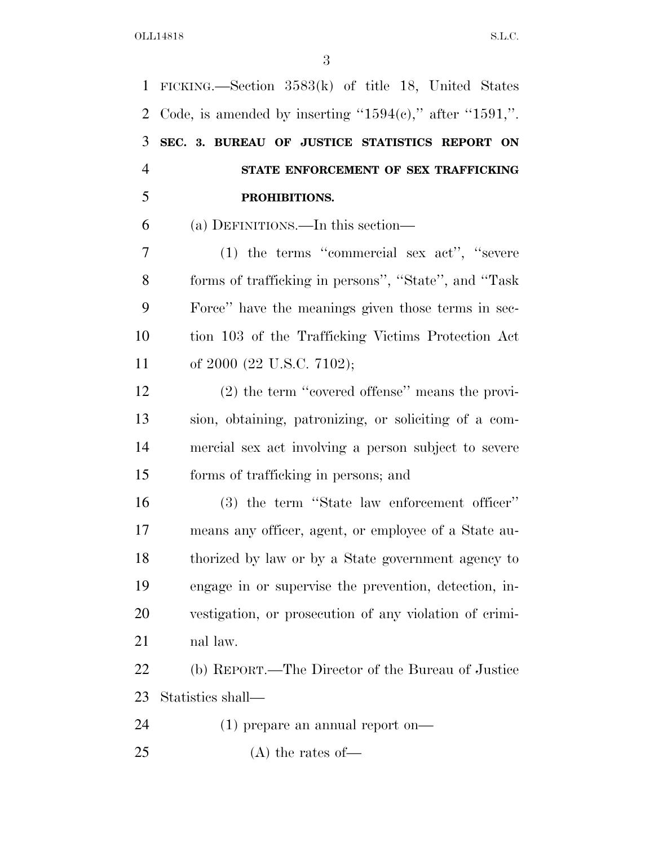FICKING.—Section 3583(k) of title 18, United States 2 Code, is amended by inserting " $1594(e)$ ," after " $1591$ ,". **SEC. 3. BUREAU OF JUSTICE STATISTICS REPORT ON STATE ENFORCEMENT OF SEX TRAFFICKING PROHIBITIONS.**  (a) DEFINITIONS.—In this section— (1) the terms ''commercial sex act'', ''severe forms of trafficking in persons'', ''State'', and ''Task Force'' have the meanings given those terms in sec- tion 103 of the Trafficking Victims Protection Act 11 of 2000 (22 U.S.C. 7102); (2) the term ''covered offense'' means the provi- sion, obtaining, patronizing, or soliciting of a com- mercial sex act involving a person subject to severe forms of trafficking in persons; and (3) the term ''State law enforcement officer'' means any officer, agent, or employee of a State au- thorized by law or by a State government agency to engage in or supervise the prevention, detection, in- vestigation, or prosecution of any violation of crimi- nal law. (b) REPORT.—The Director of the Bureau of Justice Statistics shall— (1) prepare an annual report on— (A) the rates of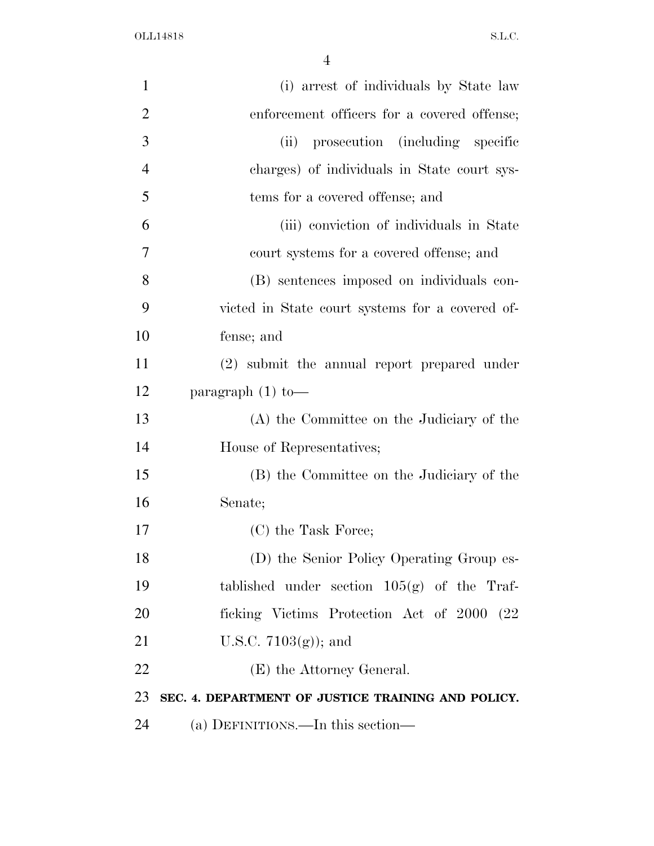OLL14818 S.L.C.

| $\mathbf{1}$   | (i) arrest of individuals by State law             |
|----------------|----------------------------------------------------|
| $\overline{2}$ | enforcement officers for a covered offense;        |
| 3              | (ii) prosecution (including specific               |
| $\overline{4}$ | charges) of individuals in State court sys-        |
| 5              | tems for a covered offense; and                    |
| 6              | (iii) conviction of individuals in State           |
| 7              | court systems for a covered offense; and           |
| 8              | (B) sentences imposed on individuals con-          |
| 9              | victed in State court systems for a covered of-    |
| 10             | fense; and                                         |
| 11             | (2) submit the annual report prepared under        |
| 12             | paragraph $(1)$ to —                               |
| 13             | (A) the Committee on the Judiciary of the          |
| 14             | House of Representatives;                          |
| 15             | (B) the Committee on the Judiciary of the          |
| 16             | Senate;                                            |
| 17             | (C) the Task Force;                                |
| 18             | (D) the Senior Policy Operating Group es-          |
| 19             | tablished under section $105(g)$ of the Traf-      |
| 20             | ficking Victims Protection Act of 2000 (22)        |
| 21             | U.S.C. $7103(g)$ ; and                             |
| 22             | (E) the Attorney General.                          |
| 23             | SEC. 4. DEPARTMENT OF JUSTICE TRAINING AND POLICY. |
| 24             | (a) DEFINITIONS.—In this section—                  |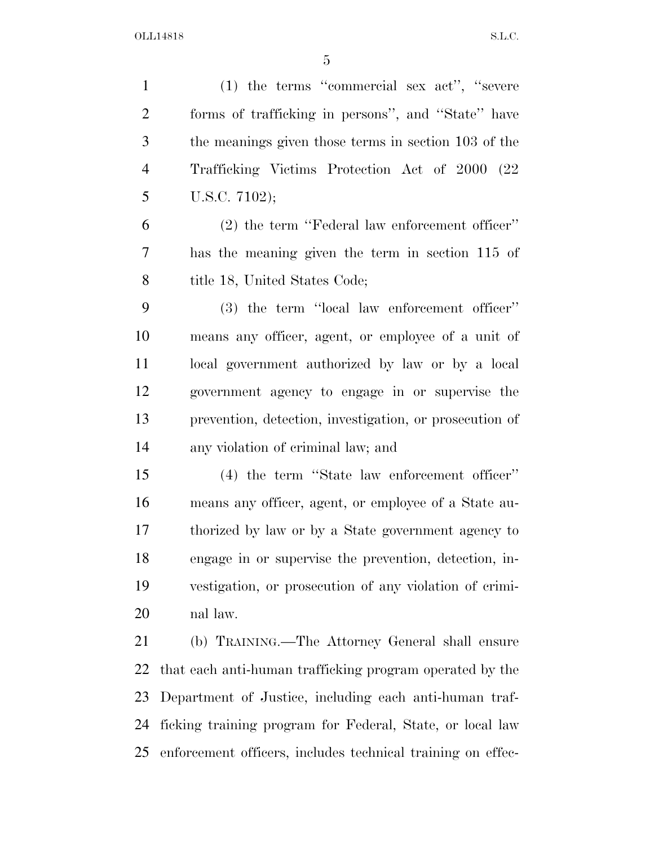OLL14818 S.L.C.

 (1) the terms ''commercial sex act'', ''severe forms of trafficking in persons'', and ''State'' have the meanings given those terms in section 103 of the Trafficking Victims Protection Act of 2000 (22 U.S.C. 7102); (2) the term ''Federal law enforcement officer'' has the meaning given the term in section 115 of 8 title 18, United States Code; (3) the term ''local law enforcement officer'' means any officer, agent, or employee of a unit of local government authorized by law or by a local government agency to engage in or supervise the prevention, detection, investigation, or prosecution of any violation of criminal law; and (4) the term ''State law enforcement officer'' means any officer, agent, or employee of a State au- thorized by law or by a State government agency to engage in or supervise the prevention, detection, in- vestigation, or prosecution of any violation of crimi- nal law. (b) TRAINING.—The Attorney General shall ensure

 that each anti-human trafficking program operated by the Department of Justice, including each anti-human traf- ficking training program for Federal, State, or local law enforcement officers, includes technical training on effec-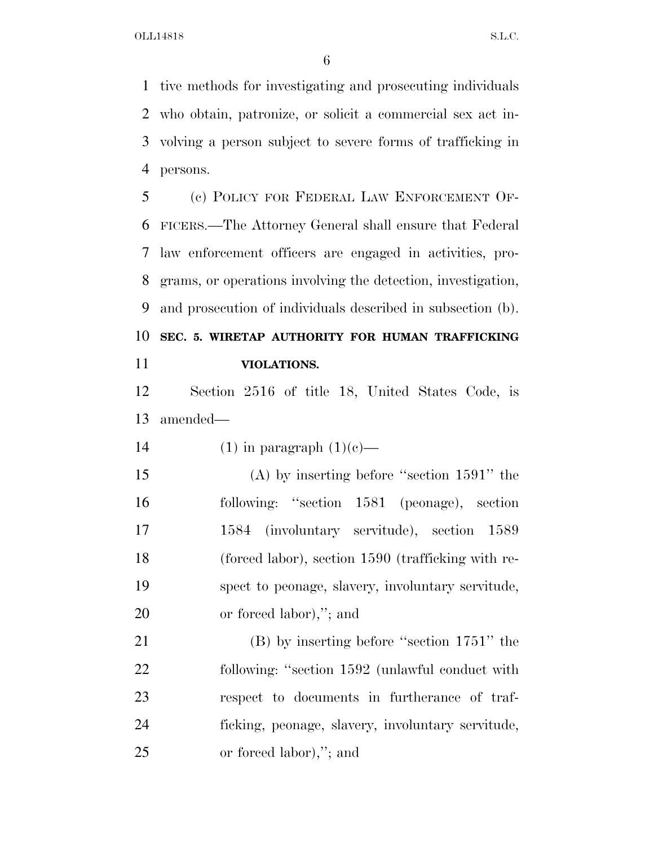tive methods for investigating and prosecuting individuals who obtain, patronize, or solicit a commercial sex act in- volving a person subject to severe forms of trafficking in persons.

 (c) POLICY FOR FEDERAL LAW ENFORCEMENT OF- FICERS.—The Attorney General shall ensure that Federal law enforcement officers are engaged in activities, pro- grams, or operations involving the detection, investigation, and prosecution of individuals described in subsection (b). **SEC. 5. WIRETAP AUTHORITY FOR HUMAN TRAFFICKING** 

**VIOLATIONS.** 

 Section 2516 of title 18, United States Code, is amended—

14 (1) in paragraph  $(1)(c)$ —

 (A) by inserting before ''section 1591'' the following: ''section 1581 (peonage), section 1584 (involuntary servitude), section 1589 (forced labor), section 1590 (trafficking with re- spect to peonage, slavery, involuntary servitude, or forced labor),''; and

 (B) by inserting before ''section 1751'' the following: ''section 1592 (unlawful conduct with respect to documents in furtherance of traf- ficking, peonage, slavery, involuntary servitude, or forced labor),''; and